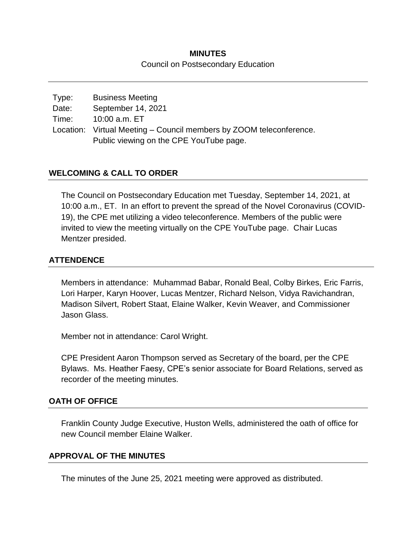## **MINUTES** Council on Postsecondary Education

| Type: | <b>Business Meeting</b>                                             |
|-------|---------------------------------------------------------------------|
| Date: | September 14, 2021                                                  |
| Time: | 10:00 a.m. ET                                                       |
|       | Location: Virtual Meeting – Council members by ZOOM teleconference. |
|       | Public viewing on the CPE YouTube page.                             |

## **WELCOMING & CALL TO ORDER**

The Council on Postsecondary Education met Tuesday, September 14, 2021, at 10:00 a.m., ET. In an effort to prevent the spread of the Novel Coronavirus (COVID-19), the CPE met utilizing a video teleconference. Members of the public were invited to view the meeting virtually on the CPE YouTube page. Chair Lucas Mentzer presided.

### **ATTENDENCE**

Members in attendance: Muhammad Babar, Ronald Beal, Colby Birkes, Eric Farris, Lori Harper, Karyn Hoover, Lucas Mentzer, Richard Nelson, Vidya Ravichandran, Madison Silvert, Robert Staat, Elaine Walker, Kevin Weaver, and Commissioner Jason Glass.

Member not in attendance: Carol Wright.

CPE President Aaron Thompson served as Secretary of the board, per the CPE Bylaws. Ms. Heather Faesy, CPE's senior associate for Board Relations, served as recorder of the meeting minutes.

### **OATH OF OFFICE**

Franklin County Judge Executive, Huston Wells, administered the oath of office for new Council member Elaine Walker.

### **APPROVAL OF THE MINUTES**

The minutes of the June 25, 2021 meeting were approved as distributed.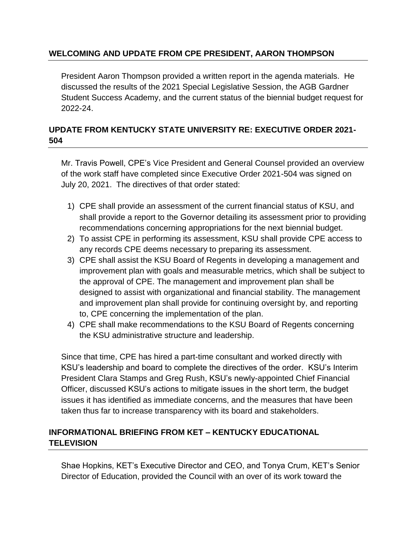# **WELCOMING AND UPDATE FROM CPE PRESIDENT, AARON THOMPSON**

President Aaron Thompson provided a written report in the agenda materials. He discussed the results of the 2021 Special Legislative Session, the AGB Gardner Student Success Academy, and the current status of the biennial budget request for 2022-24.

# **UPDATE FROM KENTUCKY STATE UNIVERSITY RE: EXECUTIVE ORDER 2021- 504**

Mr. Travis Powell, CPE's Vice President and General Counsel provided an overview of the work staff have completed since Executive Order 2021-504 was signed on July 20, 2021. The directives of that order stated:

- 1) CPE shall provide an assessment of the current financial status of KSU, and shall provide a report to the Governor detailing its assessment prior to providing recommendations concerning appropriations for the next biennial budget.
- 2) To assist CPE in performing its assessment, KSU shall provide CPE access to any records CPE deems necessary to preparing its assessment.
- 3) CPE shall assist the KSU Board of Regents in developing a management and improvement plan with goals and measurable metrics, which shall be subject to the approval of CPE. The management and improvement plan shall be designed to assist with organizational and financial stability. The management and improvement plan shall provide for continuing oversight by, and reporting to, CPE concerning the implementation of the plan.
- 4) CPE shall make recommendations to the KSU Board of Regents concerning the KSU administrative structure and leadership.

Since that time, CPE has hired a part-time consultant and worked directly with KSU's leadership and board to complete the directives of the order. KSU's Interim President Clara Stamps and Greg Rush, KSU's newly-appointed Chief Financial Officer, discussed KSU's actions to mitigate issues in the short term, the budget issues it has identified as immediate concerns, and the measures that have been taken thus far to increase transparency with its board and stakeholders.

# **INFORMATIONAL BRIEFING FROM KET – KENTUCKY EDUCATIONAL TELEVISION**

Shae Hopkins, KET's Executive Director and CEO, and Tonya Crum, KET's Senior Director of Education, provided the Council with an over of its work toward the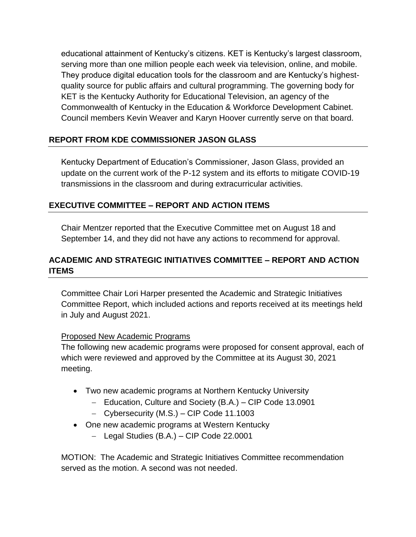educational attainment of Kentucky's citizens. KET is Kentucky's largest classroom, serving more than one million people each week via television, online, and mobile. They produce digital education tools for the classroom and are Kentucky's highestquality source for public affairs and cultural programming. The governing body for KET is the Kentucky Authority for Educational Television, an agency of the Commonwealth of Kentucky in the Education & Workforce Development Cabinet. Council members Kevin Weaver and Karyn Hoover currently serve on that board.

# **REPORT FROM KDE COMMISSIONER JASON GLASS**

Kentucky Department of Education's Commissioner, Jason Glass, provided an update on the current work of the P-12 system and its efforts to mitigate COVID-19 transmissions in the classroom and during extracurricular activities.

# **EXECUTIVE COMMITTEE – REPORT AND ACTION ITEMS**

Chair Mentzer reported that the Executive Committee met on August 18 and September 14, and they did not have any actions to recommend for approval.

# **ACADEMIC AND STRATEGIC INITIATIVES COMMITTEE – REPORT AND ACTION ITEMS**

Committee Chair Lori Harper presented the Academic and Strategic Initiatives Committee Report, which included actions and reports received at its meetings held in July and August 2021.

## Proposed New Academic Programs

The following new academic programs were proposed for consent approval, each of which were reviewed and approved by the Committee at its August 30, 2021 meeting.

- Two new academic programs at Northern Kentucky University
	- Education, Culture and Society (B.A.) CIP Code 13.0901
	- Cybersecurity (M.S.) CIP Code 11.1003
- One new academic programs at Western Kentucky
	- Legal Studies (B.A.) CIP Code 22.0001

MOTION: The Academic and Strategic Initiatives Committee recommendation served as the motion. A second was not needed.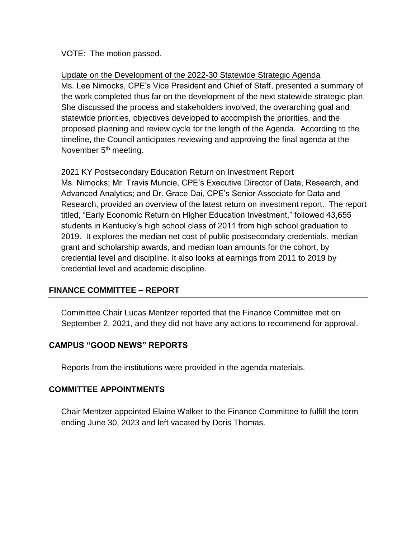### VOTE: The motion passed.

Update on the Development of the 2022-30 Statewide Strategic Agenda Ms. Lee Nimocks, CPE's Vice President and Chief of Staff, presented a summary of the work completed thus far on the development of the next statewide strategic plan. She discussed the process and stakeholders involved, the overarching goal and statewide priorities, objectives developed to accomplish the priorities, and the proposed planning and review cycle for the length of the Agenda. According to the timeline, the Council anticipates reviewing and approving the final agenda at the November 5<sup>th</sup> meeting.

### 2021 KY Postsecondary Education Return on Investment Report

Ms. Nimocks; Mr. Travis Muncie, CPE's Executive Director of Data, Research, and Advanced Analytics; and Dr. Grace Dai, CPE's Senior Associate for Data and Research, provided an overview of the latest return on investment report. The report titled, "Early Economic Return on Higher Education Investment," followed 43,655 students in Kentucky's high school class of 2011 from high school graduation to 2019. It explores the median net cost of public postsecondary credentials, median grant and scholarship awards, and median loan amounts for the cohort, by credential level and discipline. It also looks at earnings from 2011 to 2019 by credential level and academic discipline.

## **FINANCE COMMITTEE – REPORT**

Committee Chair Lucas Mentzer reported that the Finance Committee met on September 2, 2021, and they did not have any actions to recommend for approval.

## **CAMPUS "GOOD NEWS" REPORTS**

Reports from the institutions were provided in the agenda materials.

## **COMMITTEE APPOINTMENTS**

Chair Mentzer appointed Elaine Walker to the Finance Committee to fulfill the term ending June 30, 2023 and left vacated by Doris Thomas.